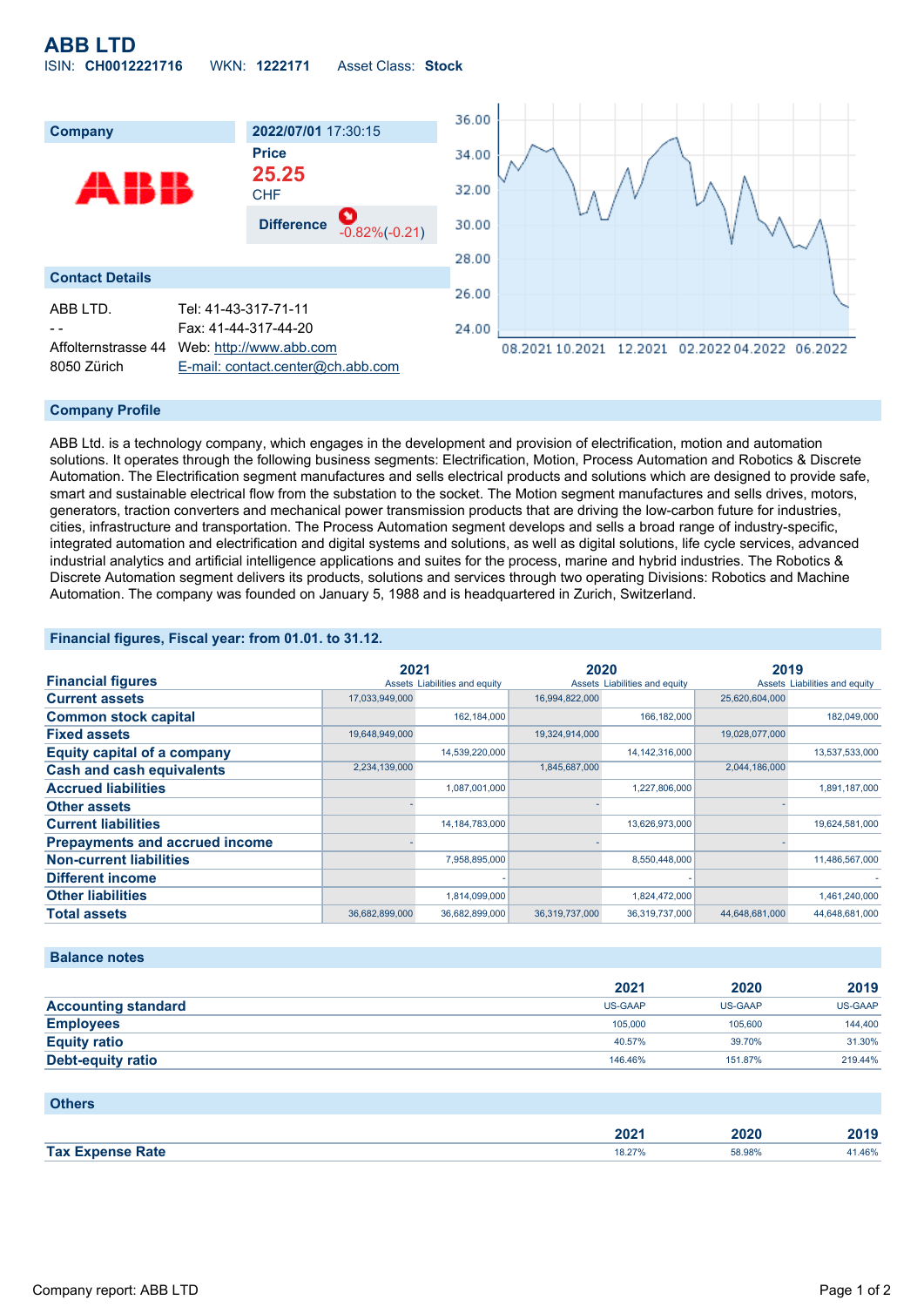# **ABB LTD** ISIN: **CH0012221716** WKN: **1222171** Asset Class: **Stock**



### **Company Profile**

ABB Ltd. is a technology company, which engages in the development and provision of electrification, motion and automation solutions. It operates through the following business segments: Electrification, Motion, Process Automation and Robotics & Discrete Automation. The Electrification segment manufactures and sells electrical products and solutions which are designed to provide safe, smart and sustainable electrical flow from the substation to the socket. The Motion segment manufactures and sells drives, motors, generators, traction converters and mechanical power transmission products that are driving the low-carbon future for industries, cities, infrastructure and transportation. The Process Automation segment develops and sells a broad range of industry-specific, integrated automation and electrification and digital systems and solutions, as well as digital solutions, life cycle services, advanced industrial analytics and artificial intelligence applications and suites for the process, marine and hybrid industries. The Robotics & Discrete Automation segment delivers its products, solutions and services through two operating Divisions: Robotics and Machine Automation. The company was founded on January 5, 1988 and is headquartered in Zurich, Switzerland.

### **Financial figures, Fiscal year: from 01.01. to 31.12.**

|                                       | 2021           |                               | 2020           |                               | 2019           |                               |
|---------------------------------------|----------------|-------------------------------|----------------|-------------------------------|----------------|-------------------------------|
| <b>Financial figures</b>              |                | Assets Liabilities and equity |                | Assets Liabilities and equity |                | Assets Liabilities and equity |
| <b>Current assets</b>                 | 17,033,949,000 |                               | 16,994,822,000 |                               | 25,620,604,000 |                               |
| <b>Common stock capital</b>           |                | 162,184,000                   |                | 166,182,000                   |                | 182,049,000                   |
| <b>Fixed assets</b>                   | 19,648,949,000 |                               | 19,324,914,000 |                               | 19,028,077,000 |                               |
| <b>Equity capital of a company</b>    |                | 14,539,220,000                |                | 14, 142, 316, 000             |                | 13,537,533,000                |
| <b>Cash and cash equivalents</b>      | 2,234,139,000  |                               | 1,845,687,000  |                               | 2,044,186,000  |                               |
| <b>Accrued liabilities</b>            |                | 1,087,001,000                 |                | 1,227,806,000                 |                | 1,891,187,000                 |
| <b>Other assets</b>                   |                |                               |                |                               |                |                               |
| <b>Current liabilities</b>            |                | 14, 184, 783, 000             |                | 13,626,973,000                |                | 19,624,581,000                |
| <b>Prepayments and accrued income</b> |                |                               |                |                               |                |                               |
| <b>Non-current liabilities</b>        |                | 7,958,895,000                 |                | 8,550,448,000                 |                | 11,486,567,000                |
| <b>Different income</b>               |                |                               |                |                               |                |                               |
| <b>Other liabilities</b>              |                | 1,814,099,000                 |                | 1,824,472,000                 |                | 1,461,240,000                 |
| <b>Total assets</b>                   | 36,682,899,000 | 36,682,899,000                | 36,319,737,000 | 36,319,737,000                | 44,648,681,000 | 44,648,681,000                |

#### **Balance notes**

|                            | 2021    | 2020           | 2019    |
|----------------------------|---------|----------------|---------|
| <b>Accounting standard</b> | US-GAAP | <b>US-GAAP</b> | US-GAAP |
| <b>Employees</b>           | 105,000 | 105,600        | 144,400 |
| <b>Equity ratio</b>        | 40.57%  | 39.70%         | 31.30%  |
| Debt-equity ratio          | 146.46% | 151.87%        | 219,44% |

| <b>Others</b>           |        |        |        |
|-------------------------|--------|--------|--------|
|                         | 2021   | 2020   | 2019   |
| <b>Tax Expense Rate</b> | 18.27% | 58.98% | 41.46% |